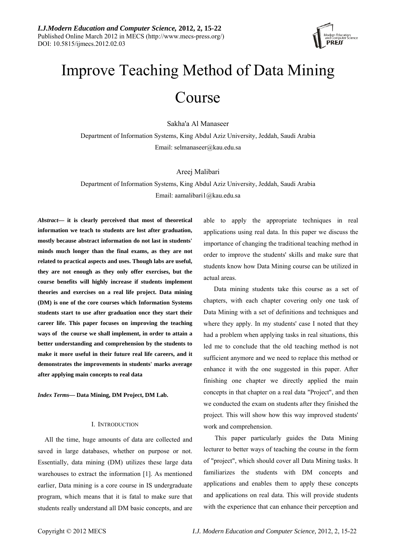

# Improve Teaching Method of Data Mining Course

Sakha'a Al Manaseer

Department of Information Systems, King Abdul Aziz University, Jeddah, Saudi Arabia Email: [selmanaseer@kau.edu.sa](mailto:selmanaseer@kau.edu.sa)

## Areej Malibari

Department of Information Systems, King Abdul Aziz University, Jeddah, Saudi Arabia Email: aamalibari1@kau.edu.sa

*Abstract***— it is clearly perceived that most of theoretical information we teach to students are lost after graduation, mostly because abstract information do not last in students' minds much longer than the final exams, as they are not related to practical aspects and uses. Though labs are useful, they are not enough as they only offer exercises, but the course benefits will highly increase if students implement theories and exercises on a real life project. Data mining (DM) is one of the core courses which Information Systems students start to use after graduation once they start their career life. This paper focuses on improving the teaching ways of the course we shall implement, in order to attain a better understanding and comprehension by the students to make it more useful in their future real life careers, and it demonstrates the improvements in students' marks average after applying main concepts to real data** 

*Index Terms***— Data Mining, DM Project, DM Lab.** 

## I. INTRODUCTION

All the time, huge amounts of data are collected and saved in large databases, whether on purpose or not. Essentially, data mining (DM) utilizes these large data warehouses to extract the information [1]. As mentioned earlier, Data mining is a core course in IS undergraduate program, which means that it is fatal to make sure that students really understand all DM basic concepts, and are

able to apply the appropriate techniques in real applications using real data. In this paper we discuss the importance of changing the traditional teaching method in order to improve the students' skills and make sure that students know how Data Mining course can be utilized in actual areas.

 Data mining students take this course as a set of chapters, with each chapter covering only one task of Data Mining with a set of definitions and techniques and where they apply. In my students' case I noted that they had a problem when applying tasks in real situations, this led me to conclude that the old teaching method is not sufficient anymore and we need to replace this method or enhance it with the one suggested in this paper. After finishing one chapter we directly applied the main concepts in that chapter on a real data "Project", and then we conducted the exam on students after they finished the project. This will show how this way improved students' work and comprehension.

 This paper particularly guides the Data Mining lecturer to better ways of teaching the course in the form of "project", which should cover all Data Mining tasks. It familiarizes the students with DM concepts and applications and enables them to apply these concepts and applications on real data. This will provide students with the experience that can enhance their perception and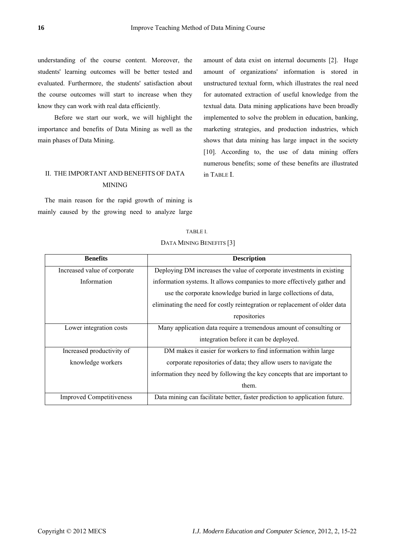understanding of the course content. Moreover, the students' learning outcomes will be better tested and evaluated. Furthermore, the students' satisfaction about the course outcomes will start to increase when they know they can work with real data efficiently.

 Before we start our work, we will highlight the importance and benefits of Data Mining as well as the main phases of Data Mining.

# II. THE IMPORTANT AND BENEFITS OF DATA MINING

The main reason for the rapid growth of mining is mainly caused by the growing need to analyze large amount of data exist on internal documents [2]. Huge amount of organizations' information is stored in unstructured textual form, which illustrates the real need for automated extraction of useful knowledge from the textual data. Data mining applications have been broadly implemented to solve the problem in education, banking, marketing strategies, and production industries, which shows that data mining has large impact in the society [10]. According to, the use of data mining offers numerous benefits; some of these benefits are illustrated in TABLE Ι.

| <b>Benefits</b>                 | <b>Description</b>                                                          |  |  |
|---------------------------------|-----------------------------------------------------------------------------|--|--|
| Increased value of corporate    | Deploying DM increases the value of corporate investments in existing       |  |  |
| Information                     | information systems. It allows companies to more effectively gather and     |  |  |
|                                 | use the corporate knowledge buried in large collections of data,            |  |  |
|                                 | eliminating the need for costly reintegration or replacement of older data  |  |  |
|                                 | repositories                                                                |  |  |
| Lower integration costs         | Many application data require a tremendous amount of consulting or          |  |  |
|                                 | integration before it can be deployed.                                      |  |  |
| Increased productivity of       | DM makes it easier for workers to find information within large             |  |  |
| knowledge workers               | corporate repositories of data; they allow users to navigate the            |  |  |
|                                 | information they need by following the key concepts that are important to   |  |  |
|                                 | them.                                                                       |  |  |
| <b>Improved Competitiveness</b> | Data mining can facilitate better, faster prediction to application future. |  |  |

# TABLE I. DATA MINING BENEFITS [3]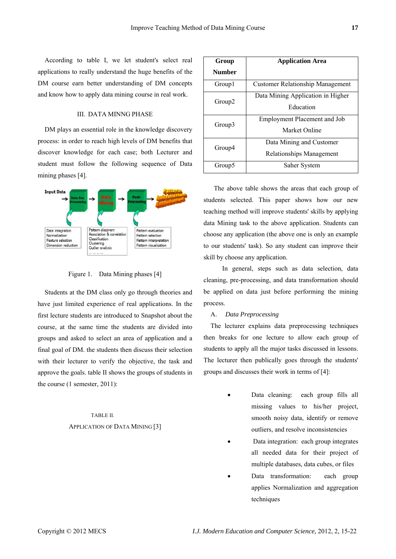According to table Ι, we let student's select real applications to really understand the huge benefits of the DM course earn better understanding of DM concepts and know how to apply data mining course in real work.

## III. DATA MINNG PHASE

DM plays an essential role in the knowledge discovery process: in order to reach high levels of DM benefits that discover knowledge for each case; both Lecturer and student must follow the following sequence of Data mining phases [4].



Figure 1. Data Mining phases [4]

Students at the DM class only go through theories and have just limited experience of real applications. In the first lecture students are introduced to Snapshot about the course, at the same time the students are divided into groups and asked to select an area of application and a final goal of DM. the students then discuss their selection with their lecturer to verify the objective, the task and approve the goals. table IΙ shows the groups of students in the course (1 semester, 2011):

# TABLE II. APPLICATION OF DATA MINING [3]

| Group              | <b>Application Area</b>                              |  |
|--------------------|------------------------------------------------------|--|
| Number             |                                                      |  |
| Group1             | <b>Customer Relationship Management</b>              |  |
| Group <sub>2</sub> | Data Mining Application in Higher<br>Education       |  |
| Group3             | <b>Employment Placement and Job</b><br>Market Online |  |
| Group4             | Data Mining and Customer<br>Relationships Management |  |
| Group5             | Saher System                                         |  |

 The above table shows the areas that each group of students selected. This paper shows how our new teaching method will improve students' skills by applying data Mining task to the above application. Students can choose any application (the above one is only an example to our students' task). So any student can improve their skill by choose any application.

 In general, steps such as data selection, data cleaning, pre-processing, and data transformation should be applied on data just before performing the mining process.

#### A. *Data Preprocessing*

The lecturer explains data preprocessing techniques then breaks for one lecture to allow each group of students to apply all the major tasks discussed in lessons. The lecturer then publically goes through the students' groups and discusses their work in terms of [4]:

- Data cleaning: each group fills all missing values to his/her project, smooth noisy data, identify or remove outliers, and resolve inconsistencies
- Data integration: each group integrates all needed data for their project of multiple databases, data cubes, or files
- Data transformation: each group applies Normalization and aggregation techniques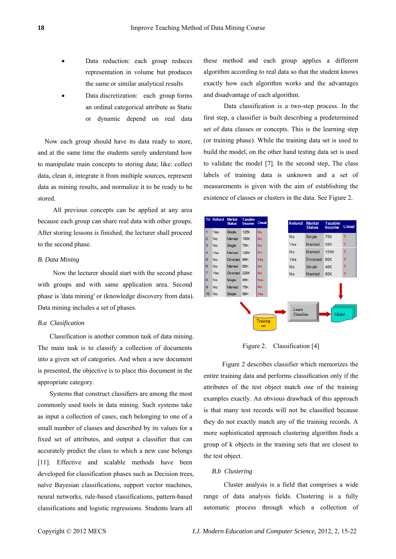- Data reduction: each group reduces representation in volume but produces the same or similar analytical results
- Data discretization: each group forms an ordinal categorical attribute as Static or dynamic depend on real data

Now each group should have its data ready to store, and at the same time the students surely understand how to manipulate main concepts to storing data; like: collect data, clean it, integrate it from multiple sources, represent data as mining results, and normalize it to be ready to be stored.

 All previous concepts can be applied at any area because each group can share real data with other groups. After storing lessons is finished, the lecturer shall proceed to the second phase.

# *B. Data Mining*

 Now the lecturer should start with the second phase with groups and with same application area. Second phase is 'data mining' or (knowledge discovery from data). Data mining includes a set of phases.

## *B.a Clasification*

 Classification is another common task of data mining. The main task is to classify a collection of documents into a given set of categories. And when a new document is presented, the objective is to place this document in the appropriate category.

 Systems that construct classifiers are among the most commonly used tools in data mining. Such systems take as input a collection of cases, each belonging to one of a small number of classes and described by its values for a fixed set of attributes, and output a classifier that can accurately predict the class to which a new case belongs [11]. Effective and scalable methods have been developed for classification phases such as Decision trees, naïve Bayesian classifications, support vector machines, neural networks, rule-based classifications, pattern-based classifications and logistic regressions. Students learn all

these method and each group applies a different algorithm according to real data so that the student knows exactly how each algorithm works and the advantages and disadvantage of each algorithm.

 Data classification is a two-step process. In the first step, a classifier is built describing a predetermined set of data classes or concepts. This is the learning step (or training phase). While the training data set is used to build the model, on the other hand testing data set is used to validate the model [7]. In the second step, The class labels of training data is unknown and a set of measurements is given with the aim of establishing the existence of classes or clusters in the data. See Figure 2.



Figure 2. Classification [4]

 Figure 2 describes classifier which memorizes the entire training data and performs classification only if the attributes of the test object match one of the training examples exactly. An obvious drawback of this approach is that many test records will not be classified because they do not exactly match any of the training records. A more sophisticated approach clustering algorithm finds a group of k objects in the training sets that are closest to the test object.

## *B.b Clustering*

 Cluster analysis is a field that comprises a wide range of data analysis fields. Clustering is a fully automatic process through which a collection of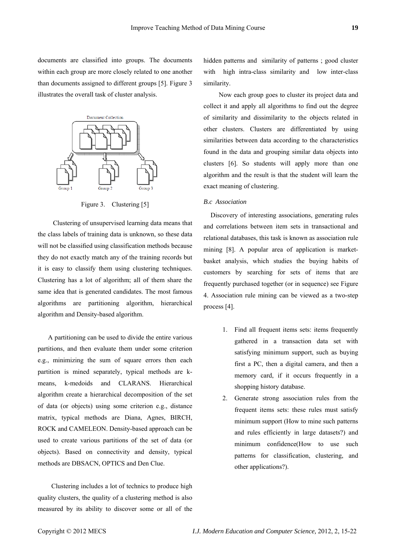documents are classified into groups. The documents within each group are more closely related to one another than documents assigned to different groups [5]. Figure 3 illustrates the overall task of cluster analysis.



Figure 3. Clustering [5]

 Clustering of unsupervised learning data means that the class labels of training data is unknown, so these data will not be classified using classification methods because they do not exactly match any of the training records but it is easy to classify them using clustering techniques. Clustering has a lot of algorithm; all of them share the same idea that is generated candidates. The most famous algorithms are partitioning algorithm, hierarchical algorithm and Density-based algorithm.

 A partitioning can be used to divide the entire various partitions, and then evaluate them under some criterion e.g., minimizing the sum of square errors then each partition is mined separately, typical methods are kmeans, k-medoids and CLARANS. Hierarchical algorithm create a hierarchical decomposition of the set of data (or objects) using some criterion e.g., distance matrix, typical methods are Diana, Agnes, BIRCH, ROCK and CAMELEON. Density-based approach can be used to create various partitions of the set of data (or objects). Based on connectivity and density, typical methods are DBSACN, OPTICS and Den Clue.

 Clustering includes a lot of technics to produce high quality clusters, the quality of a clustering method is also measured by its ability to discover some or all of the hidden patterns and similarity of patterns ; good cluster with high intra-class similarity and low inter-class similarity.

 Now each group goes to cluster its project data and collect it and apply all algorithms to find out the degree of similarity and dissimilarity to the objects related in other clusters. Clusters are differentiated by using similarities between data according to the characteristics found in the data and grouping similar data objects into clusters [6]. So students will apply more than one algorithm and the result is that the student will learn the exact meaning of clustering.

# *B.c Association*

Discovery of interesting associations, generating rules and correlations between item sets in transactional and relational databases, this task is known as association rule mining [8]. A popular area of application is marketbasket analysis, which studies the buying habits of customers by searching for sets of items that are frequently purchased together (or in sequence) see Figure 4. Association rule mining can be viewed as a two-step process [4].

- 1. Find all frequent items sets: items frequently gathered in a transaction data set with satisfying minimum support, such as buying first a PC, then a digital camera, and then a memory card, if it occurs frequently in a shopping history database.
- 2. Generate strong association rules from the frequent items sets: these rules must satisfy minimum support (How to mine such patterns and rules efficiently in large datasets?) and minimum confidence(How to use such patterns for classification, clustering, and other applications?).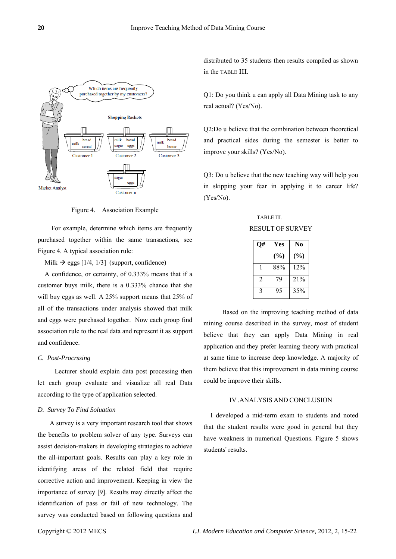

Figure 4. Association Example

 For example, determine which items are frequently purchased together within the same transactions, see Figure 4. A typical association rule:

Milk  $\rightarrow$  eggs [1/4, 1/3] (support, confidence)

A confidence, or certainty, of 0.333% means that if a customer buys milk, there is a 0.333% chance that she will buy eggs as well. A 25% support means that 25% of all of the transactions under analysis showed that milk and eggs were purchased together. Now each group find association rule to the real data and represent it as support and confidence.

## *C. Post-Procrssing*

 Lecturer should explain data post processing then let each group evaluate and visualize all real Data according to the type of application selected.

# *D. Survey To Find Soluation*

A survey is a very important research tool that shows the benefits to problem solver of any type. Surveys can assist decision-makers in developing strategies to achieve the all-important goals. Results can play a key role in identifying areas of the related field that require corrective action and improvement. Keeping in view the importance of survey [9]. Results may directly affect the identification of pass or fail of new technology. The survey was conducted based on following questions and

distributed to 35 students then results compiled as shown in the TABLE ΙΙΙ.

Q1: Do you think u can apply all Data Mining task to any real actual? (Yes/No).

Q2:Do u believe that the combination between theoretical and practical sides during the semester is better to improve your skills? (Yes/No).

Q3: Do u believe that the new teaching way will help you in skipping your fear in applying it to career life? (Yes/No).

TABLE III. RESULT OF SURVEY

| O#             | Yes    | N <sub>0</sub> |
|----------------|--------|----------------|
|                | $(\%)$ | $(\%)$         |
|                | 88%    | 12%            |
| $\mathfrak{D}$ | 79     | 21%            |
| 3              | 95     | 35%            |

 Based on the improving teaching method of data mining course described in the survey, most of student believe that they can apply Data Mining in real application and they prefer learning theory with practical at same time to increase deep knowledge. A majority of them believe that this improvement in data mining course could be improve their skills.

#### IV .ANALYSIS AND CONCLUSION

I developed a mid-term exam to students and noted that the student results were good in general but they have weakness in numerical Questions. Figure 5 shows students' results.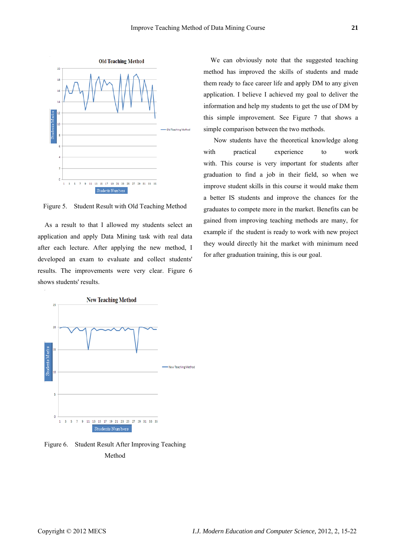

Figure 5. Student Result with Old Teaching Method

As a result to that I allowed my students select an application and apply Data Mining task with real data after each lecture. After applying the new method, I developed an exam to evaluate and collect students' results. The improvements were very clear. Figure 6 shows students' results.



Figure 6. Student Result After Improving Teaching Method

We can obviously note that the suggested teaching method has improved the skills of students and made them ready to face career life and apply DM to any given application. I believe I achieved my goal to deliver the information and help my students to get the use of DM by this simple improvement. See Figure 7 that shows a simple comparison between the two methods.

 Now students have the theoretical knowledge along with practical experience to work with. This course is very important for students after graduation to find a job in their field, so when we improve student skills in this course it would make them a better IS students and improve the chances for the graduates to compete more in the market. Benefits can be gained from improving teaching methods are many, for example if the student is ready to work with new project they would directly hit the market with minimum need for after graduation training, this is our goal.